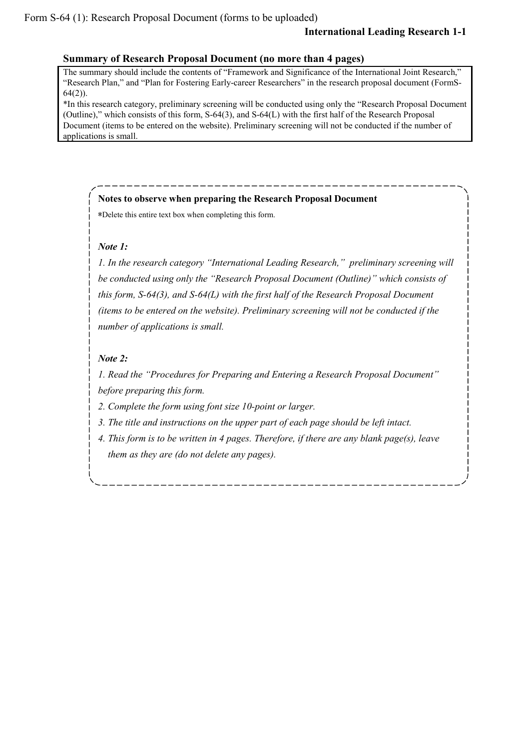## **Summary of Research Proposal Document (no more than 4 pages)**

The summary should include the contents of "Framework and Significance of the International Joint Research," "Research Plan," and "Plan for Fostering Early-career Researchers" in the research proposal document (FormS- $64(2)$ ).

\*In this research category, preliminary screening will be conducted using only the "Research Proposal Document (Outline)," which consists of this form, S-64(3), and S-64(L) with the first half of the Research Proposal Document (items to be entered on the website). Preliminary screening will not be conducted if the number of applications is small.

## **Notes to observe when preparing the Research Proposal Document**

\*Delete this entire text box when completing this form.

## *Note 1:*

*1. In the research category "International Leading Research," preliminary screening will be conducted using only the "Research Proposal Document (Outline)" which consists of this form, S-64(3), and S-64(L) with the first half of the Research Proposal Document (items to be entered on the website). Preliminary screening will not be conducted if the number of applications is small.*

## *Note 2:*

*1. Read the "Procedures for Preparing and Entering a Research Proposal Document" before preparing this form.*

*2. Complete the form using font size 10-point or larger.*

*3. The title and instructions on the upper part of each page should be left intact.*

*4. This form is to be written in 4 pages. Therefore, if there are any blank page(s), leave them as they are (do not delete any pages).*